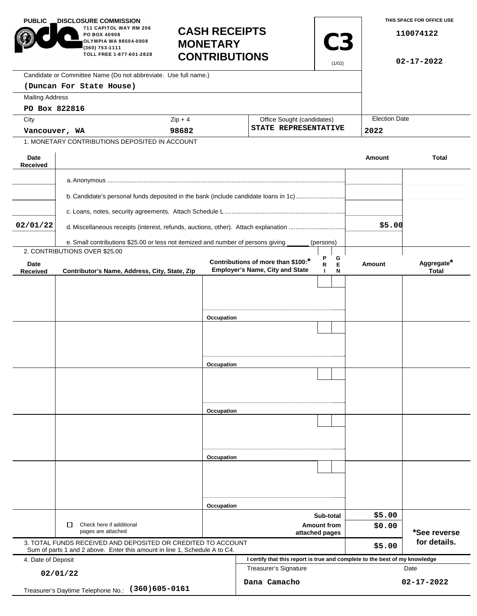| <b>PUBLIC</b>                                           | <b>DISCLOSURE COMMISSION.</b><br>711 CAPITOL WAY RM 206<br>PO BOX 40908<br>OLYMPIA WA 98504-0908<br>(360) 753-1111<br>TOLL FREE 1-877-601-2828 | <b>CASH RECEIPTS</b><br><b>MONETARY</b><br><b>CONTRIBUTIONS</b> |                                                                              | <b>C3</b><br>(1/02)                   |                              | THIS SPACE FOR OFFICE USE<br>110074122<br>$02 - 17 - 2022$ |
|---------------------------------------------------------|------------------------------------------------------------------------------------------------------------------------------------------------|-----------------------------------------------------------------|------------------------------------------------------------------------------|---------------------------------------|------------------------------|------------------------------------------------------------|
|                                                         | Candidate or Committee Name (Do not abbreviate. Use full name.)                                                                                |                                                                 |                                                                              |                                       |                              |                                                            |
|                                                         | (Duncan For State House)                                                                                                                       |                                                                 |                                                                              |                                       |                              |                                                            |
| <b>Mailing Address</b>                                  |                                                                                                                                                |                                                                 |                                                                              |                                       |                              |                                                            |
| PO Box 822816                                           |                                                                                                                                                |                                                                 |                                                                              |                                       |                              |                                                            |
| City                                                    |                                                                                                                                                | $Zip + 4$<br>Office Sought (candidates)                         |                                                                              |                                       | <b>Election Date</b><br>2022 |                                                            |
| Vancouver, WA                                           |                                                                                                                                                | 98682                                                           |                                                                              | STATE REPRESENTATIVE                  |                              |                                                            |
|                                                         | 1. MONETARY CONTRIBUTIONS DEPOSITED IN ACCOUNT                                                                                                 |                                                                 |                                                                              |                                       |                              |                                                            |
| Date<br><b>Received</b>                                 |                                                                                                                                                |                                                                 |                                                                              |                                       | <b>Amount</b>                | <b>Total</b>                                               |
|                                                         |                                                                                                                                                |                                                                 |                                                                              |                                       |                              |                                                            |
|                                                         |                                                                                                                                                |                                                                 |                                                                              |                                       |                              |                                                            |
|                                                         | b. Candidate's personal funds deposited in the bank (include candidate loans in 1c)                                                            |                                                                 |                                                                              |                                       |                              |                                                            |
|                                                         |                                                                                                                                                |                                                                 |                                                                              |                                       |                              |                                                            |
| 02/01/22                                                | d. Miscellaneous receipts (interest, refunds, auctions, other). Attach explanation                                                             |                                                                 |                                                                              |                                       | \$5.00                       |                                                            |
|                                                         |                                                                                                                                                |                                                                 |                                                                              |                                       |                              |                                                            |
|                                                         | e. Small contributions \$25.00 or less not itemized and number of persons giving<br>2. CONTRIBUTIONS OVER \$25.00                              |                                                                 |                                                                              | (persons)                             |                              |                                                            |
| Date<br><b>Received</b>                                 | Contributor's Name, Address, City, State, Zip                                                                                                  |                                                                 | Contributions of more than \$100:*<br><b>Employer's Name, City and State</b> | Ρ<br>G<br>R<br>Е<br>$\mathbf{I}$<br>N | Amount                       | Aggregate*<br><b>Total</b>                                 |
|                                                         |                                                                                                                                                |                                                                 |                                                                              |                                       |                              |                                                            |
|                                                         |                                                                                                                                                |                                                                 |                                                                              |                                       |                              |                                                            |
|                                                         |                                                                                                                                                |                                                                 |                                                                              |                                       |                              |                                                            |
|                                                         |                                                                                                                                                | Occupation                                                      |                                                                              |                                       |                              |                                                            |
|                                                         |                                                                                                                                                |                                                                 |                                                                              |                                       |                              |                                                            |
|                                                         |                                                                                                                                                |                                                                 |                                                                              |                                       |                              |                                                            |
|                                                         |                                                                                                                                                |                                                                 |                                                                              |                                       |                              |                                                            |
|                                                         |                                                                                                                                                | Occupation                                                      |                                                                              |                                       |                              |                                                            |
|                                                         |                                                                                                                                                |                                                                 |                                                                              |                                       |                              |                                                            |
|                                                         |                                                                                                                                                |                                                                 |                                                                              |                                       |                              |                                                            |
|                                                         |                                                                                                                                                |                                                                 |                                                                              |                                       |                              |                                                            |
|                                                         |                                                                                                                                                | Occupation                                                      |                                                                              |                                       |                              |                                                            |
|                                                         |                                                                                                                                                |                                                                 |                                                                              |                                       |                              |                                                            |
|                                                         |                                                                                                                                                |                                                                 |                                                                              |                                       |                              |                                                            |
|                                                         |                                                                                                                                                |                                                                 |                                                                              |                                       |                              |                                                            |
|                                                         |                                                                                                                                                | Occupation                                                      |                                                                              |                                       |                              |                                                            |
|                                                         |                                                                                                                                                |                                                                 |                                                                              |                                       |                              |                                                            |
|                                                         |                                                                                                                                                |                                                                 |                                                                              |                                       |                              |                                                            |
|                                                         |                                                                                                                                                |                                                                 |                                                                              |                                       |                              |                                                            |
|                                                         |                                                                                                                                                |                                                                 |                                                                              |                                       |                              |                                                            |
|                                                         |                                                                                                                                                | Occupation                                                      |                                                                              | Sub-total                             | \$5.00                       |                                                            |
|                                                         | □<br>Check here if additional                                                                                                                  |                                                                 | <b>Amount from</b>                                                           |                                       | \$0.00                       |                                                            |
| pages are attached                                      |                                                                                                                                                |                                                                 | attached pages                                                               |                                       |                              | *See reverse                                               |
|                                                         | 3. TOTAL FUNDS RECEIVED AND DEPOSITED OR CREDITED TO ACCOUNT<br>Sum of parts 1 and 2 above. Enter this amount in line 1, Schedule A to C4.     |                                                                 |                                                                              |                                       | \$5.00                       | for details.                                               |
| 4. Date of Deposit                                      |                                                                                                                                                |                                                                 | I certify that this report is true and complete to the best of my knowledge  |                                       |                              |                                                            |
| 02/01/22                                                |                                                                                                                                                |                                                                 | Treasurer's Signature<br>Date                                                |                                       |                              |                                                            |
| $(360)605 - 0161$<br>Treasurer's Daytime Telephone No.: |                                                                                                                                                |                                                                 | Dana Camacho                                                                 |                                       |                              | $02 - 17 - 2022$                                           |